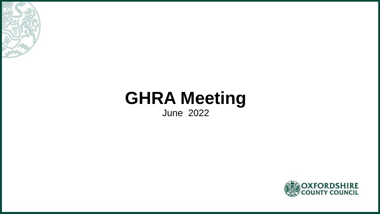

# **GHRA Meeting**

June 2022

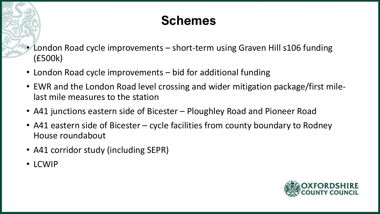# **Schemes**

- London Road cycle improvements short-term using Graven Hill s106 funding (£500k)
- London Road cycle improvements bid for additional funding
- EWR and the London Road level crossing and wider mitigation package/first milelast mile measures to the station
- A41 junctions eastern side of Bicester Ploughley Road and Pioneer Road
- A41 eastern side of Bicester cycle facilities from county boundary to Rodney House roundabout
- A41 corridor study (including SEPR)
- LCWIP

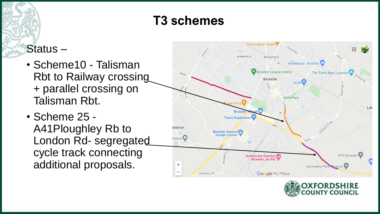# **T3 schemes**

### Status –

- Scheme10 Talisman Rbt to Railway crossing + parallel crossing on Talisman Rbt.
- Scheme 25 A41Ploughley Rb to London Rd- segregated cycle track connecting additional proposals.



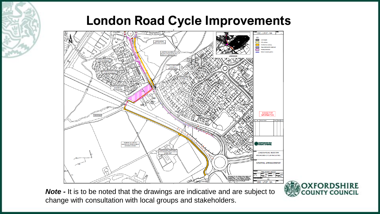### **London Road Cycle Improvements**



*Note -* It is to be noted that the drawings are indicative and are subject to change with consultation with local groups and stakeholders.

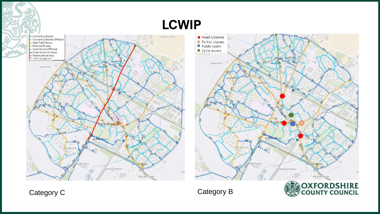**LCWIP**